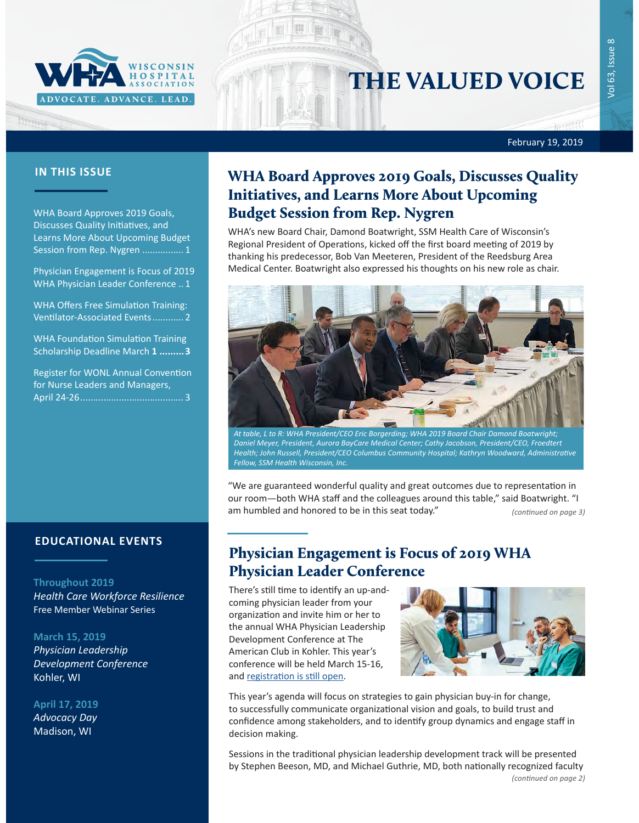

# THE VALUED VOICE

February 19, 2019

### **IN THIS ISSUE**

FEFFERE

WHA Board Approves 2019 Goals, Discusses Quality Initiatives, and Learns More About Upcoming Budget Session from Rep. Nygren ................ 1

Physician Engagement is Focus of 2019 WHA Physician Leader Conference .. 1

[WHA Offers Free Simulation Training:](#page-1-0)  [Ventilator-Associated Events](#page-1-0)............ 2

[WHA Foundation Simulation Training](#page-2-0)  [Scholarship Deadline March](#page-2-0) **1 .........3**

[Register for WONL Annual Convention](#page-2-0)  [for Nurse Leaders and Managers,](#page-2-0)  April 24-26[........................................](#page-2-0) 3

### **EDUCATIONAL EVENTS**

#### **Throughout 2019**

*[Health Care Workforce Resilience](http://www.whareg4.org/WorkforceResilience/)* Free Member Webinar Series

#### **March 15, 2019**

*[Physician Leadership](http://www.cvent.com/events/19l-pldc-03-15-16/event-summary-cce6c95196974bcc87660b15b6e87c43.aspx)  [Development Conference](http://www.cvent.com/events/19l-pldc-03-15-16/event-summary-cce6c95196974bcc87660b15b6e87c43.aspx)* Kohler, WI

**April 17, 2019** *[Advocacy Day](http://www.whareg4.org/AdvocacyDay2019/)*

Madison, WI

## WHA Board Approves 2019 Goals, Discusses Quality Initiatives, and Learns More About Upcoming Budget Session from Rep. Nygren

WHA's new Board Chair, Damond Boatwright, SSM Health Care of Wisconsin's Regional President of Operations, kicked off the first board meeting of 2019 by thanking his predecessor, Bob Van Meeteren, President of the Reedsburg Area Medical Center. Boatwright also expressed his thoughts on his new role as chair.



*At table, L to R: WHA President/CEO Eric Borgerding; WHA 2019 Board Chair Damond Boatwright; Daniel Meyer, President, Aurora BayCare Medical Center; Cathy Jacobson, President/CEO, Froedtert Health; John Russell, President/CEO Columbus Community Hospital; Kathryn Woodward, Administrative Fellow, SSM Health Wisconsin, Inc.*

"We are guaranteed wonderful quality and great outcomes due to representation in our room—both WHA staff and the colleagues around this table," said Boatwright. "I am humbled and honored to be in this seat today." *(continued on page 3)*

Physician Engagement is Focus of 2019 WHA Physician Leader Conference

There's still time to identify an up-andcoming physician leader from your organization and invite him or her to the annual WHA Physician Leadership Development Conference at The American Club in Kohler. This year's conference will be held March 15-16, and [registration is still open](http://www.cvent.com/events/19l-pldc-03-15-16/event-summary-cce6c95196974bcc87660b15b6e87c43.aspx).



This year's agenda will focus on strategies to gain physician buy-in for change, to successfully communicate organizational vision and goals, to build trust and confidence among stakeholders, and to identify group dynamics and engage staff in decision making.

Sessions in the traditional physician leadership development track will be presented by Stephen Beeson, MD, and Michael Guthrie, MD, both nationally recognized faculty *(continued on page 2)*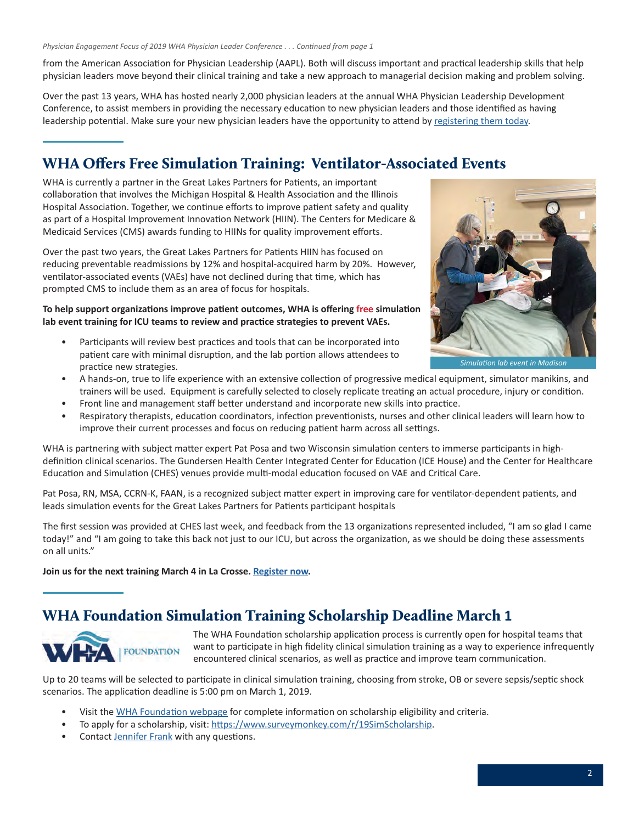<span id="page-1-0"></span>from the American Association for Physician Leadership (AAPL). Both will discuss important and practical leadership skills that help physician leaders move beyond their clinical training and take a new approach to managerial decision making and problem solving.

Over the past 13 years, WHA has hosted nearly 2,000 physician leaders at the annual WHA Physician Leadership Development Conference, to assist members in providing the necessary education to new physician leaders and those identified as having leadership potential. Make sure your new physician leaders have the opportunity to attend by [registering them today](http://www.cvent.com/events/19l-pldc-03-15-16/event-summary-cce6c95196974bcc87660b15b6e87c43.aspx).

### WHA Offers Free Simulation Training: Ventilator-Associated Events

WHA is currently a partner in the Great Lakes Partners for Patients, an important collaboration that involves the Michigan Hospital & Health Association and the Illinois Hospital Association. Together, we continue efforts to improve patient safety and quality as part of a Hospital Improvement Innovation Network (HIIN). The Centers for Medicare & Medicaid Services (CMS) awards funding to HIINs for quality improvement efforts.

Over the past two years, the Great Lakes Partners for Patients HIIN has focused on reducing preventable readmissions by 12% and hospital-acquired harm by 20%. However, ventilator-associated events (VAEs) have not declined during that time, which has prompted CMS to include them as an area of focus for hospitals.

**To help support organizations improve patient outcomes, WHA is offering free simulation lab event training for ICU teams to review and practice strategies to prevent VAEs.** 

• Participants will review best practices and tools that can be incorporated into patient care with minimal disruption, and the lab portion allows attendees to practice new strategies.



- A hands-on, true to life experience with an extensive collection of progressive medical equipment, simulator manikins, and trainers will be used. Equipment is carefully selected to closely replicate treating an actual procedure, injury or condition.
- Front line and management staff better understand and incorporate new skills into practice.
- Respiratory therapists, education coordinators, infection preventionists, nurses and other clinical leaders will learn how to improve their current processes and focus on reducing patient harm across all settings.

WHA is partnering with subject matter expert Pat Posa and two Wisconsin simulation centers to immerse participants in highdefinition clinical scenarios. The Gundersen Health Center Integrated Center for Education (ICE House) and the Center for Healthcare Education and Simulation (CHES) venues provide multi-modal education focused on VAE and Critical Care.

Pat Posa, RN, MSA, CCRN-K, FAAN, is a recognized subject matter expert in improving care for ventilator-dependent patients, and leads simulation events for the Great Lakes Partners for Patients participant hospitals

The first session was provided at CHES last week, and feedback from the 13 organizations represented included, "I am so glad I came today!" and "I am going to take this back not just to our ICU, but across the organization, as we should be doing these assessments on all units."

**Join us for the next training March 4 in La Crosse. [Register now](http://www.whareg4.org/VAESimLAX/).** 

### WHA Foundation Simulation Training Scholarship Deadline March **1**



The WHA Foundation scholarship application process is currently open for hospital teams that want to participate in high fidelity clinical simulation training as a way to experience infrequently encountered clinical scenarios, as well as practice and improve team communication.

Up to 20 teams will be selected to participate in clinical simulation training, choosing from stroke, OB or severe sepsis/septic shock scenarios. The application deadline is 5:00 pm on March 1, 2019.

- Visit the [WHA Foundation webpage](https://www.wha.org/AboutWHA/WHA-Foundation) for complete information on scholarship eligibility and criteria.
- To apply for a scholarship, visit:<https://www.surveymonkey.com/r/19SimScholarship>.
- Contact [Jennifer Frank](mailto:jfrank@wha.org) with any questions.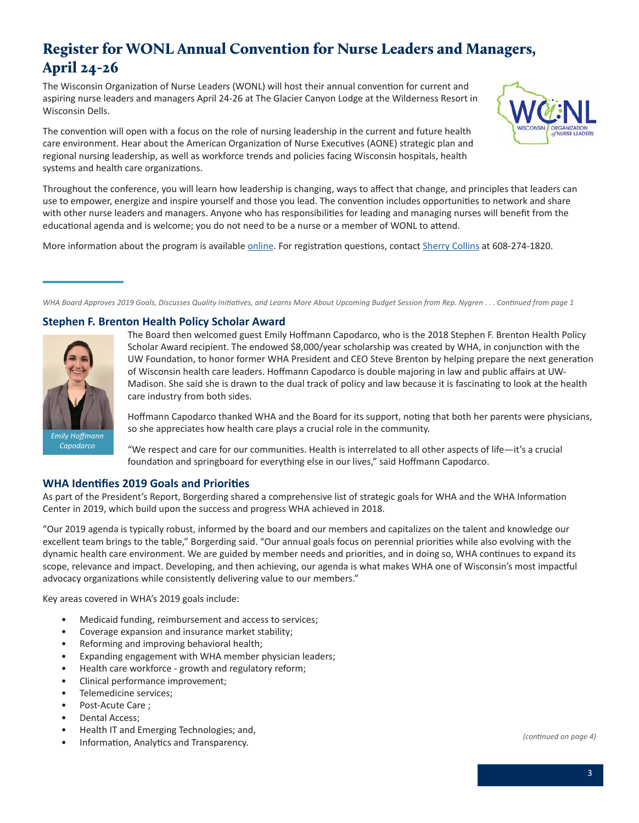# <span id="page-2-0"></span>Register for WONL Annual Convention for Nurse Leaders and Managers, April 24-26

The Wisconsin Organization of Nurse Leaders (WONL) will host their annual convention for current and aspiring nurse leaders and managers April 24-26 at The Glacier Canyon Lodge at the Wilderness Resort in Wisconsin Dells.

The convention will open with a focus on the role of nursing leadership in the current and future health care environment. Hear about the American Organization of Nurse Executives (AONE) strategic plan and regional nursing leadership, as well as workforce trends and policies facing Wisconsin hospitals, health systems and health care organizations.



Throughout the conference, you will learn how leadership is changing, ways to affect that change, and principles that leaders can use to empower, energize and inspire yourself and those you lead. The convention includes opportunities to network and share with other nurse leaders and managers. Anyone who has responsibilities for leading and managing nurses will benefit from the educational agenda and is welcome; you do not need to be a nurse or a member of WONL to attend.

More information about the program is available [online](https://s3.amazonaws.com/nursing-network/production/attachments/202861/original/WONL_Convention_2019.pdf?2019). For registration questions, contact [Sherry Collins](mailto:scollins@wha.org) at 608-274-1820.

*WHA Board Approves 2019 Goals, Discusses Quality Initiatives, and Learns More About Upcoming Budget Session from Rep. Nygren . . . Continued from page 1*

### **Stephen F. Brenton Health Policy Scholar Award**



The Board then welcomed guest Emily Hoffmann Capodarco, who is the 2018 Stephen F. Brenton Health Policy Scholar Award recipient. The endowed \$8,000/year scholarship was created by WHA, in conjunction with the UW Foundation, to honor former WHA President and CEO Steve Brenton by helping prepare the next generation of Wisconsin health care leaders. Hoffmann Capodarco is double majoring in law and public affairs at UW-Madison. She said she is drawn to the dual track of policy and law because it is fascinating to look at the health care industry from both sides.

Hoffmann Capodarco thanked WHA and the Board for its support, noting that both her parents were physicians, so she appreciates how health care plays a crucial role in the community.

"We respect and care for our communities. Health is interrelated to all other aspects of life—it's a crucial foundation and springboard for everything else in our lives," said Hoffmann Capodarco.

### **WHA Identifies 2019 Goals and Priorities**

As part of the President's Report, Borgerding shared a comprehensive list of strategic goals for WHA and the WHA Information Center in 2019, which build upon the success and progress WHA achieved in 2018.

"Our 2019 agenda is typically robust, informed by the board and our members and capitalizes on the talent and knowledge our excellent team brings to the table," Borgerding said. "Our annual goals focus on perennial priorities while also evolving with the dynamic health care environment. We are guided by member needs and priorities, and in doing so, WHA continues to expand its scope, relevance and impact. Developing, and then achieving, our agenda is what makes WHA one of Wisconsin's most impactful advocacy organizations while consistently delivering value to our members."

Key areas covered in WHA's 2019 goals include:

- Medicaid funding, reimbursement and access to services;
- Coverage expansion and insurance market stability;
- Reforming and improving behavioral health;
- Expanding engagement with WHA member physician leaders;
- Health care workforce growth and regulatory reform;
- Clinical performance improvement;
- Telemedicine services;
- Post-Acute Care ;
- Dental Access;
- Health IT and Emerging Technologies; and,
- Information, Analytics and Transparency.

*(continued on page 4)*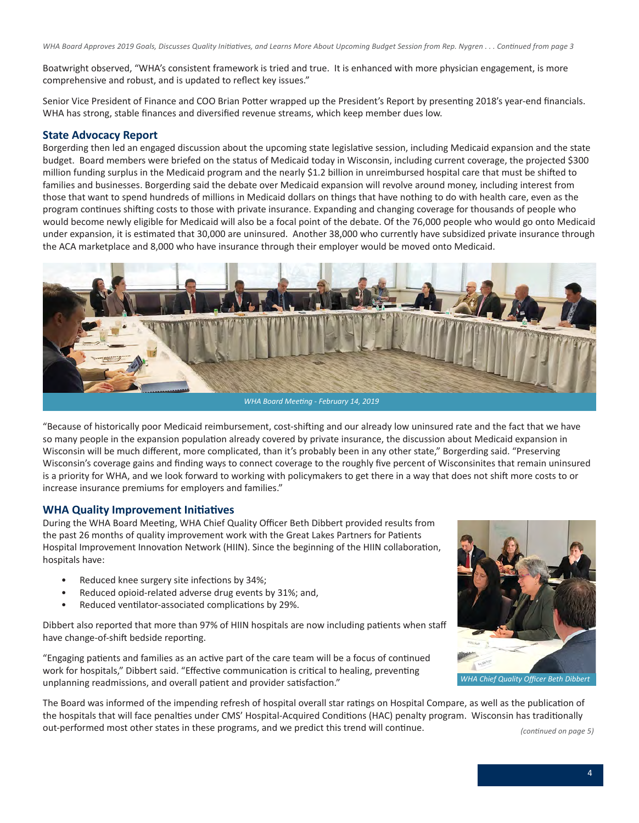*WHA Board Approves 2019 Goals, Discusses Quality Initiatives, and Learns More About Upcoming Budget Session from Rep. Nygren . . . Continued from page 3*

Boatwright observed, "WHA's consistent framework is tried and true. It is enhanced with more physician engagement, is more comprehensive and robust, and is updated to reflect key issues."

Senior Vice President of Finance and COO Brian Potter wrapped up the President's Report by presenting 2018's year-end financials. WHA has strong, stable finances and diversified revenue streams, which keep member dues low.

### **State Advocacy Report**

Borgerding then led an engaged discussion about the upcoming state legislative session, including Medicaid expansion and the state budget. Board members were briefed on the status of Medicaid today in Wisconsin, including current coverage, the projected \$300 million funding surplus in the Medicaid program and the nearly \$1.2 billion in unreimbursed hospital care that must be shifted to families and businesses. Borgerding said the debate over Medicaid expansion will revolve around money, including interest from those that want to spend hundreds of millions in Medicaid dollars on things that have nothing to do with health care, even as the program continues shifting costs to those with private insurance. Expanding and changing coverage for thousands of people who would become newly eligible for Medicaid will also be a focal point of the debate. Of the 76,000 people who would go onto Medicaid under expansion, it is estimated that 30,000 are uninsured. Another 38,000 who currently have subsidized private insurance through the ACA marketplace and 8,000 who have insurance through their employer would be moved onto Medicaid.



"Because of historically poor Medicaid reimbursement, cost-shifting and our already low uninsured rate and the fact that we have so many people in the expansion population already covered by private insurance, the discussion about Medicaid expansion in Wisconsin will be much different, more complicated, than it's probably been in any other state," Borgerding said. "Preserving Wisconsin's coverage gains and finding ways to connect coverage to the roughly five percent of Wisconsinites that remain uninsured is a priority for WHA, and we look forward to working with policymakers to get there in a way that does not shift more costs to or increase insurance premiums for employers and families."

### **WHA Quality Improvement Initiatives**

During the WHA Board Meeting, WHA Chief Quality Officer Beth Dibbert provided results from the past 26 months of quality improvement work with the Great Lakes Partners for Patients Hospital Improvement Innovation Network (HIIN). Since the beginning of the HIIN collaboration, hospitals have:

- Reduced knee surgery site infections by 34%;
- Reduced opioid-related adverse drug events by 31%; and,
- Reduced ventilator-associated complications by 29%.

Dibbert also reported that more than 97% of HIIN hospitals are now including patients when staff have change-of-shift bedside reporting.

"Engaging patients and families as an active part of the care team will be a focus of continued work for hospitals," Dibbert said. "Effective communication is critical to healing, preventing unplanning readmissions, and overall patient and provider satisfaction."



The Board was informed of the impending refresh of hospital overall star ratings on Hospital Compare, as well as the publication of the hospitals that will face penalties under CMS' Hospital-Acquired Conditions (HAC) penalty program. Wisconsin has traditionally out-performed most other states in these programs, and we predict this trend will continue.

*(continued on page 5)*